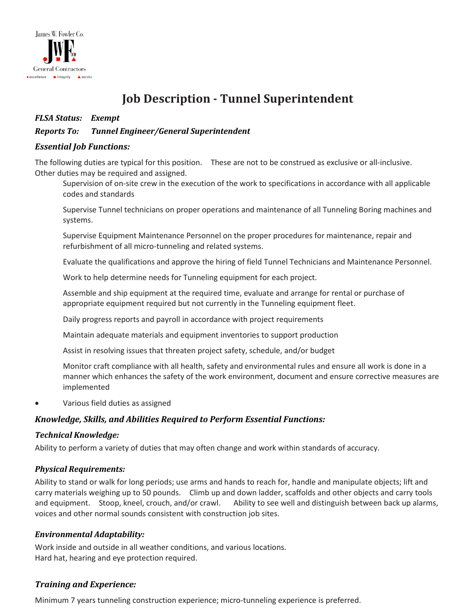

# **Job Description - Tunnel Superintendent**

## *FLSA Status: Exempt*

## *Reports To: Tunnel Engineer/General Superintendent*

### *Essential Job Functions:*

The following duties are typical for this position. These are not to be construed as exclusive or all-inclusive. Other duties may be required and assigned.

Supervision of on-site crew in the execution of the work to specifications in accordance with all applicable codes and standards

Supervise Tunnel technicians on proper operations and maintenance of all Tunneling Boring machines and systems.

Supervise Equipment Maintenance Personnel on the proper procedures for maintenance, repair and refurbishment of all micro-tunneling and related systems.

Evaluate the qualifications and approve the hiring of field Tunnel Technicians and Maintenance Personnel.

Work to help determine needs for Tunneling equipment for each project.

Assemble and ship equipment at the required time, evaluate and arrange for rental or purchase of appropriate equipment required but not currently in the Tunneling equipment fleet.

Daily progress reports and payroll in accordance with project requirements

Maintain adequate materials and equipment inventories to support production

Assist in resolving issues that threaten project safety, schedule, and/or budget

Monitor craft compliance with all health, safety and environmental rules and ensure all work is done in a manner which enhances the safety of the work environment, document and ensure corrective measures are implemented

• Various field duties as assigned

## *Knowledge, Skills, and Abilities Required to Perform Essential Functions:*

#### *Technical Knowledge:*

Ability to perform a variety of duties that may often change and work within standards of accuracy.

#### *Physical Requirements:*

Ability to stand or walk for long periods; use arms and hands to reach for, handle and manipulate objects; lift and carry materials weighing up to 50 pounds. Climb up and down ladder, scaffolds and other objects and carry tools and equipment. Stoop, kneel, crouch, and/or crawl. Ability to see well and distinguish between back up alarms, voices and other normal sounds consistent with construction job sites.

#### *Environmental Adaptability:*

Work inside and outside in all weather conditions, and various locations. Hard hat, hearing and eye protection required.

## *Training and Experience:*

Minimum 7 years tunneling construction experience; micro-tunneling experience is preferred.